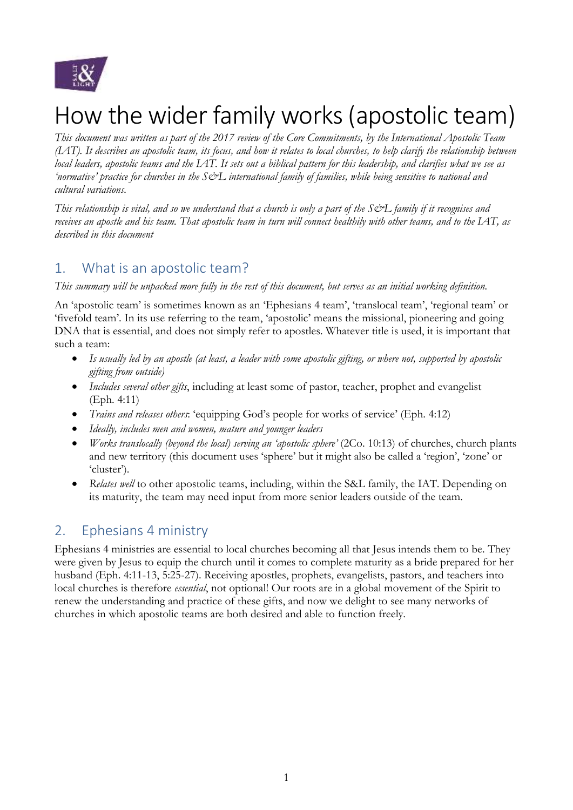

# How the wider family works(apostolic team)

*This document was written as part of the 2017 review of the Core Commitments, by the International Apostolic Team (IAT). It describes an apostolic team, its focus, and how it relates to local churches, to help clarify the relationship between local leaders, apostolic teams and the IAT. It sets out a biblical pattern for this leadership, and clarifies what we see as 'normative' practice for churches in the S&L international family of families, while being sensitive to national and cultural variations.*

*This relationship is vital, and so we understand that a church is only a part of the S&L family if it recognises and receives an apostle and his team. That apostolic team in turn will connect healthily with other teams, and to the IAT, as described in this document*

# 1. What is an apostolic team?

#### *This summary will be unpacked more fully in the rest of this document, but serves as an initial working definition.*

An 'apostolic team' is sometimes known as an 'Ephesians 4 team', 'translocal team', 'regional team' or 'fivefold team'. In its use referring to the team, 'apostolic' means the missional, pioneering and going DNA that is essential, and does not simply refer to apostles. Whatever title is used, it is important that such a team:

- *Is usually led by an apostle (at least, a leader with some apostolic gifting, or where not, supported by apostolic gifting from outside)*
- *Includes several other gifts*, including at least some of pastor, teacher, prophet and evangelist (Eph. 4:11)
- *Trains and releases others*: 'equipping God's people for works of service' (Eph. 4:12)
- *Ideally, includes men and women, mature and younger leaders*
- *Works translocally (beyond the local) serving an 'apostolic sphere'* (2Co. 10:13) of churches, church plants and new territory (this document uses 'sphere' but it might also be called a 'region', 'zone' or 'cluster').
- *Relates well* to other apostolic teams, including, within the S&L family, the IAT. Depending on its maturity, the team may need input from more senior leaders outside of the team.

# 2. Ephesians 4 ministry

Ephesians 4 ministries are essential to local churches becoming all that Jesus intends them to be. They were given by Jesus to equip the church until it comes to complete maturity as a bride prepared for her husband (Eph. 4:11-13, 5:25-27). Receiving apostles, prophets, evangelists, pastors, and teachers into local churches is therefore *essential*, not optional! Our roots are in a global movement of the Spirit to renew the understanding and practice of these gifts, and now we delight to see many networks of churches in which apostolic teams are both desired and able to function freely.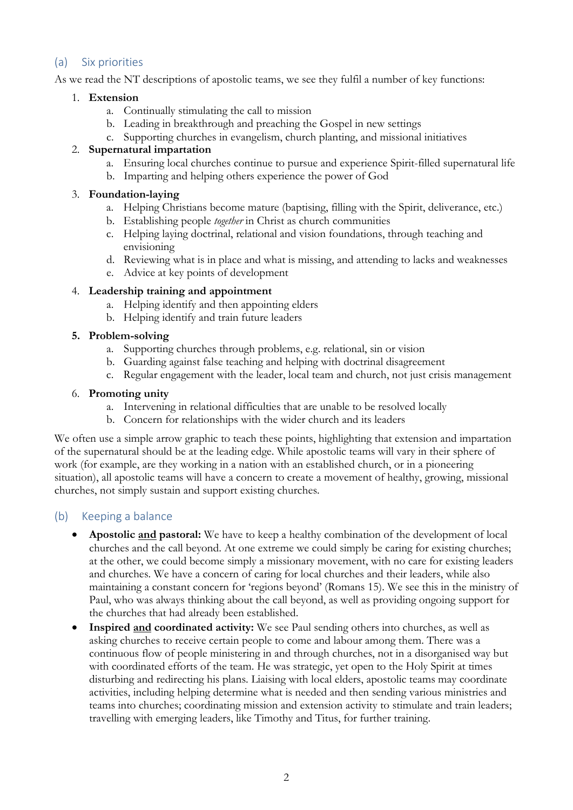## (a) Six priorities

As we read the NT descriptions of apostolic teams, we see they fulfil a number of key functions:

#### 1. **Extension**

- a. Continually stimulating the call to mission
- b. Leading in breakthrough and preaching the Gospel in new settings
- c. Supporting churches in evangelism, church planting, and missional initiatives

#### 2. **Supernatural impartation**

- a. Ensuring local churches continue to pursue and experience Spirit-filled supernatural life
- b. Imparting and helping others experience the power of God

#### 3. **Foundation-laying**

- a. Helping Christians become mature (baptising, filling with the Spirit, deliverance, etc.)
- b. Establishing people *together* in Christ as church communities
- c. Helping laying doctrinal, relational and vision foundations, through teaching and envisioning
- d. Reviewing what is in place and what is missing, and attending to lacks and weaknesses
- e. Advice at key points of development

#### 4. **Leadership training and appointment**

- a. Helping identify and then appointing elders
- b. Helping identify and train future leaders

#### **5. Problem-solving**

- a. Supporting churches through problems, e.g. relational, sin or vision
- b. Guarding against false teaching and helping with doctrinal disagreement
- c. Regular engagement with the leader, local team and church, not just crisis management

#### 6. **Promoting unity**

- a. Intervening in relational difficulties that are unable to be resolved locally
- b. Concern for relationships with the wider church and its leaders

We often use a simple arrow graphic to teach these points, highlighting that extension and impartation of the supernatural should be at the leading edge. While apostolic teams will vary in their sphere of work (for example, are they working in a nation with an established church, or in a pioneering situation), all apostolic teams will have a concern to create a movement of healthy, growing, missional churches, not simply sustain and support existing churches.

# (b) Keeping a balance

- **Apostolic and pastoral:** We have to keep a healthy combination of the development of local churches and the call beyond. At one extreme we could simply be caring for existing churches; at the other, we could become simply a missionary movement, with no care for existing leaders and churches. We have a concern of caring for local churches and their leaders, while also maintaining a constant concern for 'regions beyond' (Romans 15). We see this in the ministry of Paul, who was always thinking about the call beyond, as well as providing ongoing support for the churches that had already been established.
- **Inspired and coordinated activity:** We see Paul sending others into churches, as well as asking churches to receive certain people to come and labour among them. There was a continuous flow of people ministering in and through churches, not in a disorganised way but with coordinated efforts of the team. He was strategic, yet open to the Holy Spirit at times disturbing and redirecting his plans. Liaising with local elders, apostolic teams may coordinate activities, including helping determine what is needed and then sending various ministries and teams into churches; coordinating mission and extension activity to stimulate and train leaders; travelling with emerging leaders, like Timothy and Titus, for further training.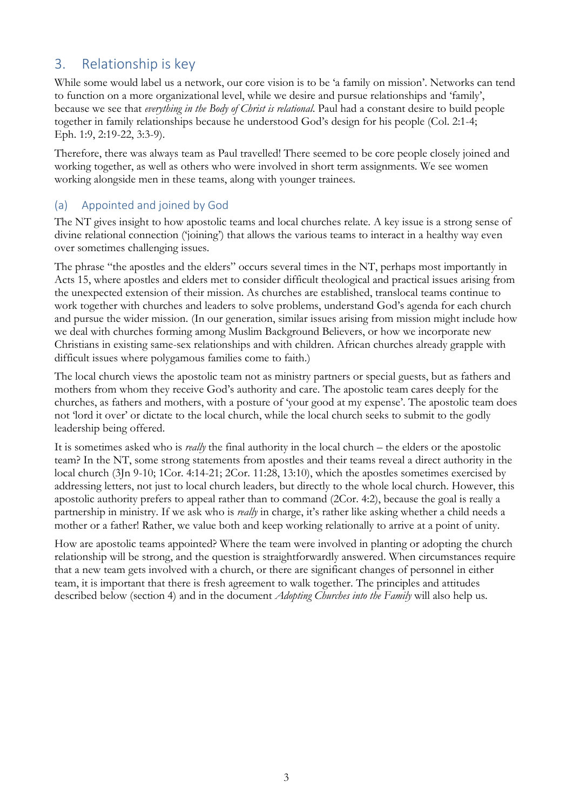# 3. Relationship is key

While some would label us a network, our core vision is to be 'a family on mission'. Networks can tend to function on a more organizational level, while we desire and pursue relationships and 'family', because we see that *everything in the Body of Christ is relational*. Paul had a constant desire to build people together in family relationships because he understood God's design for his people (Col. 2:1-4; Eph. 1:9, 2:19-22, 3:3-9).

Therefore, there was always team as Paul travelled! There seemed to be core people closely joined and working together, as well as others who were involved in short term assignments. We see women working alongside men in these teams, along with younger trainees.

# (a) Appointed and joined by God

The NT gives insight to how apostolic teams and local churches relate. A key issue is a strong sense of divine relational connection ('joining') that allows the various teams to interact in a healthy way even over sometimes challenging issues.

The phrase "the apostles and the elders" occurs several times in the NT, perhaps most importantly in Acts 15, where apostles and elders met to consider difficult theological and practical issues arising from the unexpected extension of their mission. As churches are established, translocal teams continue to work together with churches and leaders to solve problems, understand God's agenda for each church and pursue the wider mission. (In our generation, similar issues arising from mission might include how we deal with churches forming among Muslim Background Believers, or how we incorporate new Christians in existing same-sex relationships and with children. African churches already grapple with difficult issues where polygamous families come to faith.)

The local church views the apostolic team not as ministry partners or special guests, but as fathers and mothers from whom they receive God's authority and care. The apostolic team cares deeply for the churches, as fathers and mothers, with a posture of 'your good at my expense'. The apostolic team does not 'lord it over' or dictate to the local church, while the local church seeks to submit to the godly leadership being offered.

It is sometimes asked who is *really* the final authority in the local church – the elders or the apostolic team? In the NT, some strong statements from apostles and their teams reveal a direct authority in the local church (3Jn 9-10; 1Cor. 4:14-21; 2Cor. 11:28, 13:10), which the apostles sometimes exercised by addressing letters, not just to local church leaders, but directly to the whole local church. However, this apostolic authority prefers to appeal rather than to command (2Cor. 4:2), because the goal is really a partnership in ministry. If we ask who is *really* in charge, it's rather like asking whether a child needs a mother or a father! Rather, we value both and keep working relationally to arrive at a point of unity.

How are apostolic teams appointed? Where the team were involved in planting or adopting the church relationship will be strong, and the question is straightforwardly answered. When circumstances require that a new team gets involved with a church, or there are significant changes of personnel in either team, it is important that there is fresh agreement to walk together. The principles and attitudes described below (section 4) and in the document *Adopting Churches into the Family* will also help us.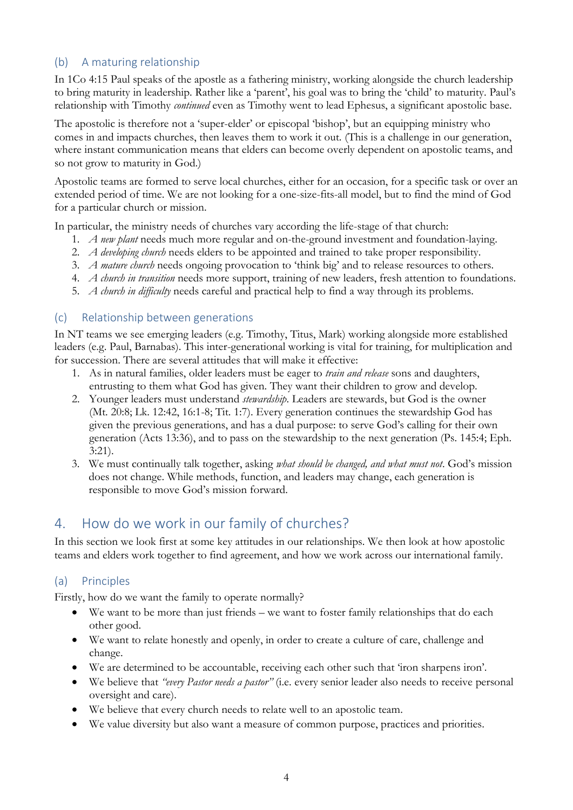# (b) A maturing relationship

In 1Co 4:15 Paul speaks of the apostle as a fathering ministry, working alongside the church leadership to bring maturity in leadership. Rather like a 'parent', his goal was to bring the 'child' to maturity. Paul's relationship with Timothy *continued* even as Timothy went to lead Ephesus, a significant apostolic base.

The apostolic is therefore not a 'super-elder' or episcopal 'bishop', but an equipping ministry who comes in and impacts churches, then leaves them to work it out. (This is a challenge in our generation, where instant communication means that elders can become overly dependent on apostolic teams, and so not grow to maturity in God.)

Apostolic teams are formed to serve local churches, either for an occasion, for a specific task or over an extended period of time. We are not looking for a one-size-fits-all model, but to find the mind of God for a particular church or mission.

In particular, the ministry needs of churches vary according the life-stage of that church:

- 1. *A new plant* needs much more regular and on-the-ground investment and foundation-laying.
- 2. *A developing church* needs elders to be appointed and trained to take proper responsibility.
- 3. *A mature church* needs ongoing provocation to 'think big' and to release resources to others.
- 4. *A church in transition* needs more support, training of new leaders, fresh attention to foundations.
- 5. *A church in difficulty* needs careful and practical help to find a way through its problems.

#### (c) Relationship between generations

In NT teams we see emerging leaders (e.g. Timothy, Titus, Mark) working alongside more established leaders (e.g. Paul, Barnabas). This inter-generational working is vital for training, for multiplication and for succession. There are several attitudes that will make it effective:

- 1. As in natural families, older leaders must be eager to *train and release* sons and daughters, entrusting to them what God has given. They want their children to grow and develop.
- 2. Younger leaders must understand *stewardship*. Leaders are stewards, but God is the owner (Mt. 20:8; Lk. 12:42, 16:1-8; Tit. 1:7). Every generation continues the stewardship God has given the previous generations, and has a dual purpose: to serve God's calling for their own generation (Acts 13:36), and to pass on the stewardship to the next generation (Ps. 145:4; Eph. 3:21).
- 3. We must continually talk together, asking *what should be changed, and what must not*. God's mission does not change. While methods, function, and leaders may change, each generation is responsible to move God's mission forward.

# 4. How do we work in our family of churches?

In this section we look first at some key attitudes in our relationships. We then look at how apostolic teams and elders work together to find agreement, and how we work across our international family.

# (a) Principles

Firstly, how do we want the family to operate normally?

- We want to be more than just friends we want to foster family relationships that do each other good.
- We want to relate honestly and openly, in order to create a culture of care, challenge and change.
- We are determined to be accountable, receiving each other such that 'iron sharpens iron'.
- We believe that *"every Pastor needs a pastor"* (i.e. every senior leader also needs to receive personal oversight and care).
- We believe that every church needs to relate well to an apostolic team.
- We value diversity but also want a measure of common purpose, practices and priorities.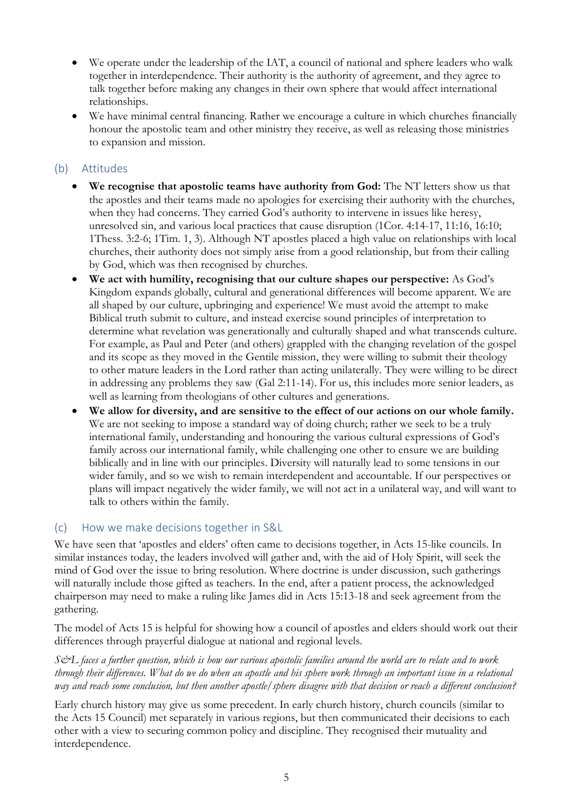- We operate under the leadership of the IAT, a council of national and sphere leaders who walk together in interdependence. Their authority is the authority of agreement, and they agree to talk together before making any changes in their own sphere that would affect international relationships.
- We have minimal central financing. Rather we encourage a culture in which churches financially honour the apostolic team and other ministry they receive, as well as releasing those ministries to expansion and mission.

## (b) Attitudes

- **We recognise that apostolic teams have authority from God:** The NT letters show us that the apostles and their teams made no apologies for exercising their authority with the churches, when they had concerns. They carried God's authority to intervene in issues like heresy, unresolved sin, and various local practices that cause disruption (1Cor. 4:14-17, 11:16, 16:10; 1Thess. 3:2-6; 1Tim. 1, 3). Although NT apostles placed a high value on relationships with local churches, their authority does not simply arise from a good relationship, but from their calling by God, which was then recognised by churches.
- **We act with humility, recognising that our culture shapes our perspective:** As God's Kingdom expands globally, cultural and generational differences will become apparent. We are all shaped by our culture, upbringing and experience! We must avoid the attempt to make Biblical truth submit to culture, and instead exercise sound principles of interpretation to determine what revelation was generationally and culturally shaped and what transcends culture. For example, as Paul and Peter (and others) grappled with the changing revelation of the gospel and its scope as they moved in the Gentile mission, they were willing to submit their theology to other mature leaders in the Lord rather than acting unilaterally. They were willing to be direct in addressing any problems they saw (Gal 2:11-14). For us, this includes more senior leaders, as well as learning from theologians of other cultures and generations.
- **We allow for diversity, and are sensitive to the effect of our actions on our whole family.** We are not seeking to impose a standard way of doing church; rather we seek to be a truly international family, understanding and honouring the various cultural expressions of God's family across our international family, while challenging one other to ensure we are building biblically and in line with our principles. Diversity will naturally lead to some tensions in our wider family, and so we wish to remain interdependent and accountable. If our perspectives or plans will impact negatively the wider family, we will not act in a unilateral way, and will want to talk to others within the family.

# (c) How we make decisions together in S&L

We have seen that 'apostles and elders' often came to decisions together, in Acts 15-like councils. In similar instances today, the leaders involved will gather and, with the aid of Holy Spirit, will seek the mind of God over the issue to bring resolution. Where doctrine is under discussion, such gatherings will naturally include those gifted as teachers. In the end, after a patient process, the acknowledged chairperson may need to make a ruling like James did in Acts 15:13-18 and seek agreement from the gathering.

The model of Acts 15 is helpful for showing how a council of apostles and elders should work out their differences through prayerful dialogue at national and regional levels.

*S&L faces a further question, which is how our various apostolic families around the world are to relate and to work through their differences. What do we do when an apostle and his sphere work through an important issue in a relational way and reach some conclusion, but then another apostle/sphere disagree with that decision or reach a different conclusion?* 

Early church history may give us some precedent. In early church history, church councils (similar to the Acts 15 Council) met separately in various regions, but then communicated their decisions to each other with a view to securing common policy and discipline. They recognised their mutuality and interdependence.